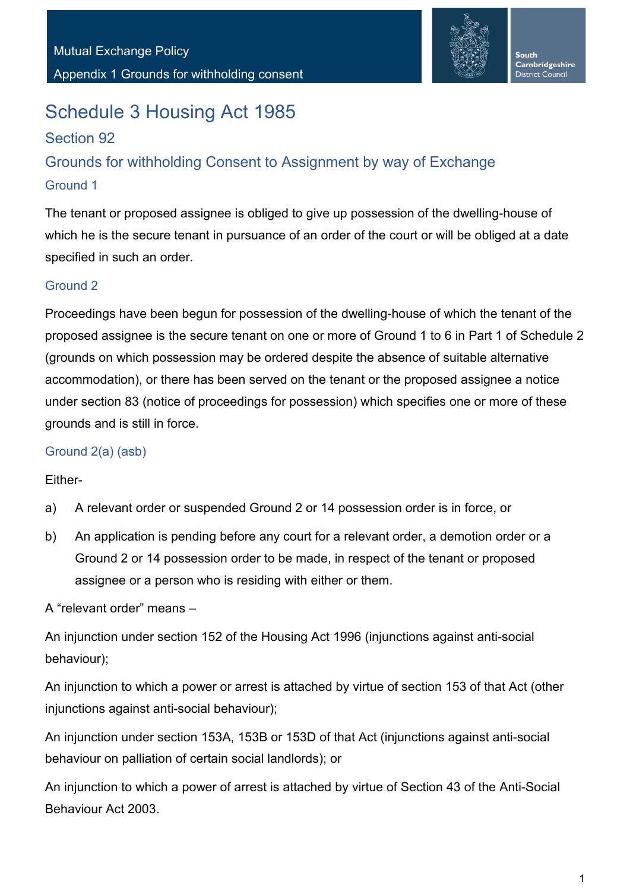

# Schedule 3 Housing Act 1985

## Section 92

## Grounds for withholding Consent to Assignment by way of Exchange Ground 1

The tenant or proposed assignee is obliged to give up possession of the dwelling-house of which he is the secure tenant in pursuance of an order of the court or will be obliged at a date specified in such an order.

#### Ground 2

Proceedings have been begun for possession of the dwelling-house of which the tenant of the proposed assignee is the secure tenant on one or more of Ground 1 to 6 in Part 1 of Schedule 2 (grounds on which possession may be ordered despite the absence of suitable alternative accommodation), or there has been served on the tenant or the proposed assignee a notice under section 83 (notice of proceedings for possession) which specifies one or more of these grounds and is still in force.

#### Ground 2(a) (asb)

#### Either-

- a) A relevant order or suspended Ground 2 or 14 possession order is in force, or
- b) An application is pending before any court for a relevant order, a demotion order or a Ground 2 or 14 possession order to be made, in respect of the tenant or proposed assignee or a person who is residing with either or them.

A "relevant order" means –

An injunction under section 152 of the Housing Act 1996 (injunctions against anti-social behaviour);

An injunction to which a power or arrest is attached by virtue of section 153 of that Act (other injunctions against anti-social behaviour);

An injunction under section 153A, 153B or 153D of that Act (injunctions against anti-social behaviour on palliation of certain social landlords); or

An injunction to which a power of arrest is attached by virtue of Section 43 of the Anti-Social Behaviour Act 2003.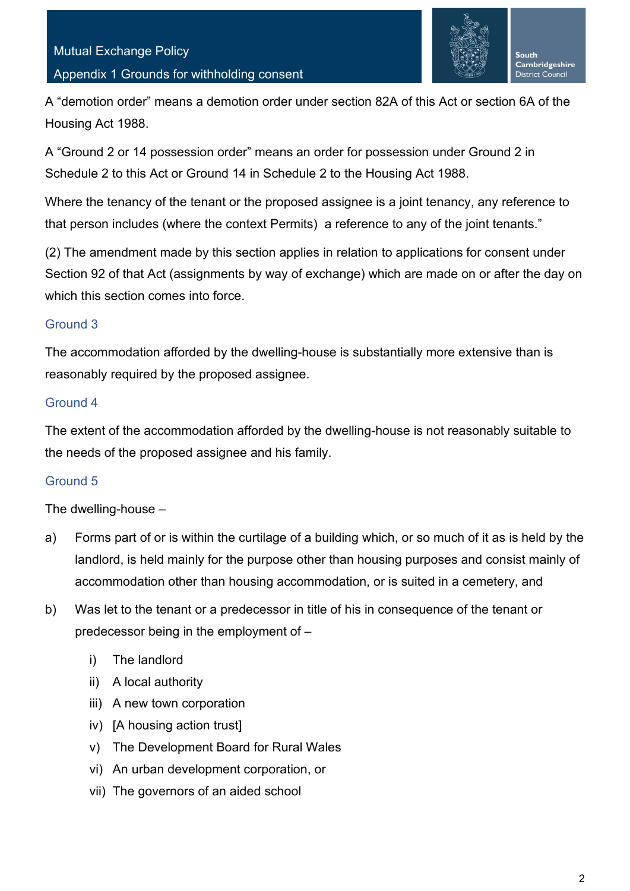

A "demotion order" means a demotion order under section 82A of this Act or section 6A of the Housing Act 1988.

A "Ground 2 or 14 possession order" means an order for possession under Ground 2 in Schedule 2 to this Act or Ground 14 in Schedule 2 to the Housing Act 1988.

Where the tenancy of the tenant or the proposed assignee is a joint tenancy, any reference to that person includes (where the context Permits) a reference to any of the joint tenants."

(2) The amendment made by this section applies in relation to applications for consent under Section 92 of that Act (assignments by way of exchange) which are made on or after the day on which this section comes into force.

#### Ground 3

The accommodation afforded by the dwelling-house is substantially more extensive than is reasonably required by the proposed assignee.

#### Ground 4

The extent of the accommodation afforded by the dwelling-house is not reasonably suitable to the needs of the proposed assignee and his family.

## Ground 5

The dwelling-house –

- a) Forms part of or is within the curtilage of a building which, or so much of it as is held by the landlord, is held mainly for the purpose other than housing purposes and consist mainly of accommodation other than housing accommodation, or is suited in a cemetery, and
- b) Was let to the tenant or a predecessor in title of his in consequence of the tenant or predecessor being in the employment of –
	- i) The landlord
	- ii) A local authority
	- iii) A new town corporation
	- iv) [A housing action trust]
	- v) The Development Board for Rural Wales
	- vi) An urban development corporation, or
	- vii) The governors of an aided school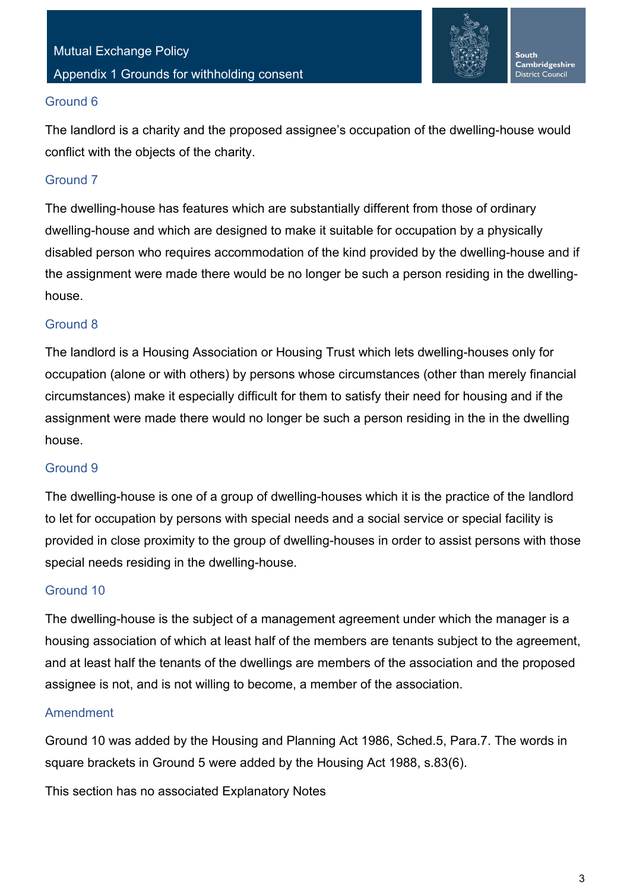

#### Ground 6

The landlord is a charity and the proposed assignee's occupation of the dwelling-house would conflict with the objects of the charity.

## Ground 7

The dwelling-house has features which are substantially different from those of ordinary dwelling-house and which are designed to make it suitable for occupation by a physically disabled person who requires accommodation of the kind provided by the dwelling-house and if the assignment were made there would be no longer be such a person residing in the dwellinghouse.

## Ground 8

The landlord is a Housing Association or Housing Trust which lets dwelling-houses only for occupation (alone or with others) by persons whose circumstances (other than merely financial circumstances) make it especially difficult for them to satisfy their need for housing and if the assignment were made there would no longer be such a person residing in the in the dwelling house.

## Ground 9

The dwelling-house is one of a group of dwelling-houses which it is the practice of the landlord to let for occupation by persons with special needs and a social service or special facility is provided in close proximity to the group of dwelling-houses in order to assist persons with those special needs residing in the dwelling-house.

## Ground 10

The dwelling-house is the subject of a management agreement under which the manager is a housing association of which at least half of the members are tenants subject to the agreement, and at least half the tenants of the dwellings are members of the association and the proposed assignee is not, and is not willing to become, a member of the association.

## Amendment

Ground 10 was added by the Housing and Planning Act 1986, Sched.5, Para.7. The words in square brackets in Ground 5 were added by the Housing Act 1988, s.83(6).

This section has no associated Explanatory Notes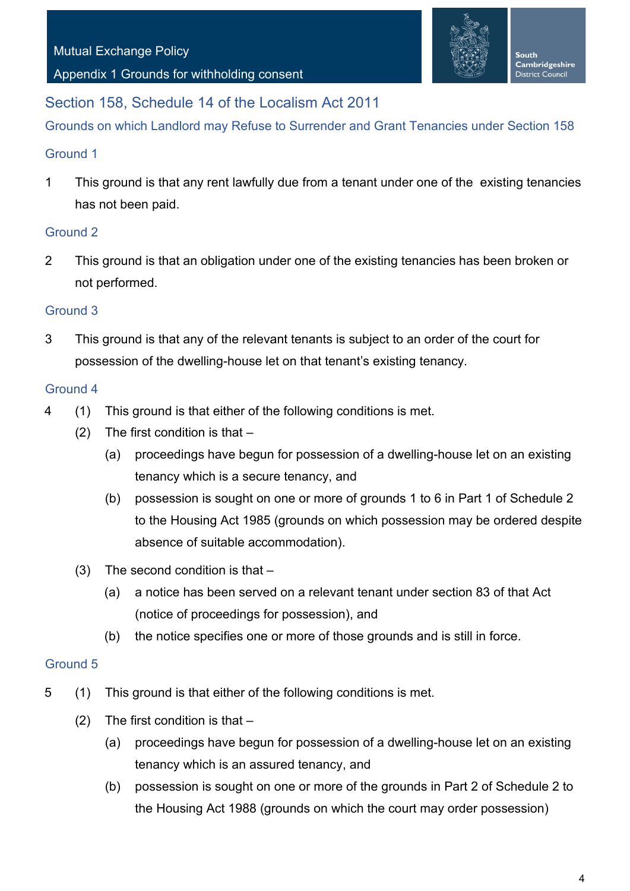#### Appendix 1 Grounds for withholding consent



## Section 158, Schedule 14 of the Localism Act 2011

Grounds on which Landlord may Refuse to Surrender and Grant Tenancies under Section 158

#### Ground 1

1 This ground is that any rent lawfully due from a tenant under one of the existing tenancies has not been paid.

#### Ground 2

2 This ground is that an obligation under one of the existing tenancies has been broken or not performed.

#### Ground 3

3 This ground is that any of the relevant tenants is subject to an order of the court for possession of the dwelling-house let on that tenant's existing tenancy.

#### Ground 4

- 4 (1) This ground is that either of the following conditions is met.
	- $(2)$  The first condition is that  $-$ 
		- (a) proceedings have begun for possession of a dwelling-house let on an existing tenancy which is a secure tenancy, and
		- (b) possession is sought on one or more of grounds 1 to 6 in Part 1 of Schedule 2 to the Housing Act 1985 (grounds on which possession may be ordered despite absence of suitable accommodation).
	- (3) The second condition is that
		- (a) a notice has been served on a relevant tenant under section 83 of that Act (notice of proceedings for possession), and
		- (b) the notice specifies one or more of those grounds and is still in force.

#### Ground 5

- 5 (1) This ground is that either of the following conditions is met.
	- (2) The first condition is that
		- (a) proceedings have begun for possession of a dwelling-house let on an existing tenancy which is an assured tenancy, and
		- (b) possession is sought on one or more of the grounds in Part 2 of Schedule 2 to the Housing Act 1988 (grounds on which the court may order possession)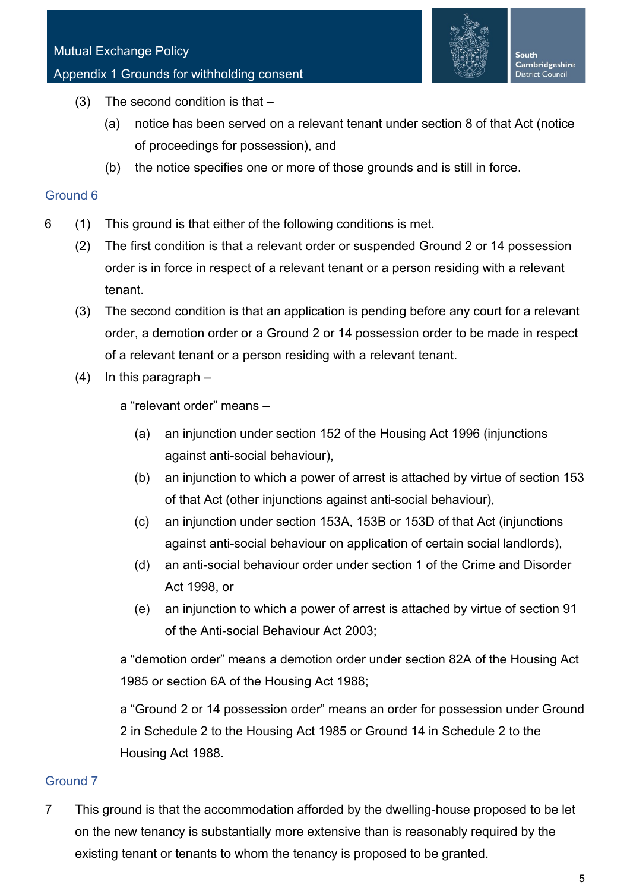

South Cambridgeshire District Council

- (3) The second condition is that
	- (a) notice has been served on a relevant tenant under section 8 of that Act (notice of proceedings for possession), and
	- (b) the notice specifies one or more of those grounds and is still in force.

#### Ground 6

- 6 (1) This ground is that either of the following conditions is met.
	- (2) The first condition is that a relevant order or suspended Ground 2 or 14 possession order is in force in respect of a relevant tenant or a person residing with a relevant tenant.
	- (3) The second condition is that an application is pending before any court for a relevant order, a demotion order or a Ground 2 or 14 possession order to be made in respect of a relevant tenant or a person residing with a relevant tenant.
	- (4) In this paragraph
		- a "relevant order" means
			- (a) an injunction under section 152 of the Housing Act 1996 (injunctions against anti-social behaviour),
			- (b) an injunction to which a power of arrest is attached by virtue of section 153 of that Act (other injunctions against anti-social behaviour),
			- (c) an injunction under section 153A, 153B or 153D of that Act (injunctions against anti-social behaviour on application of certain social landlords),
			- (d) an anti-social behaviour order under section 1 of the Crime and Disorder Act 1998, or
			- (e) an injunction to which a power of arrest is attached by virtue of section 91 of the Anti-social Behaviour Act 2003;

a "demotion order" means a demotion order under section 82A of the Housing Act 1985 or section 6A of the Housing Act 1988;

a "Ground 2 or 14 possession order" means an order for possession under Ground 2 in Schedule 2 to the Housing Act 1985 or Ground 14 in Schedule 2 to the Housing Act 1988.

## Ground 7

7 This ground is that the accommodation afforded by the dwelling-house proposed to be let on the new tenancy is substantially more extensive than is reasonably required by the existing tenant or tenants to whom the tenancy is proposed to be granted.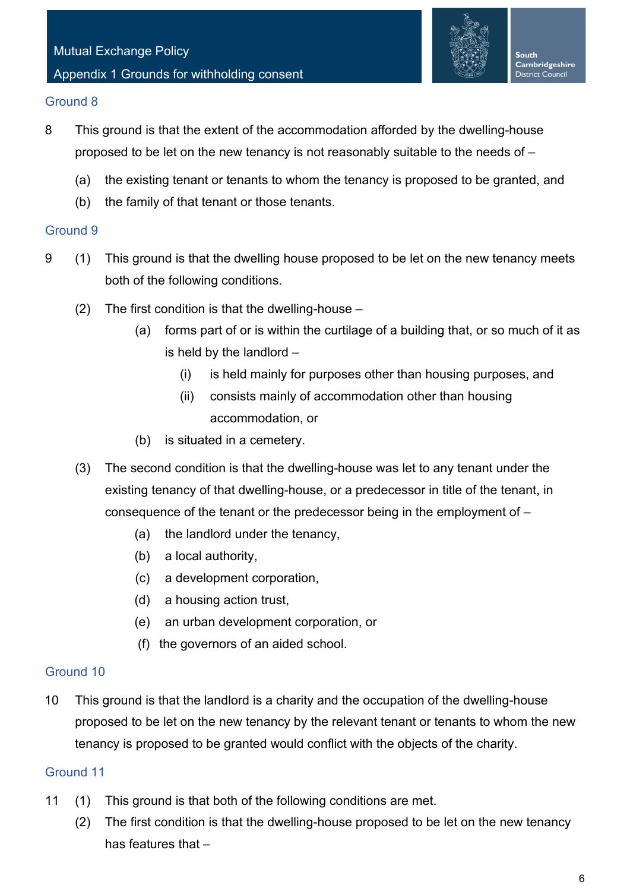

#### Ground 8

- 8 This ground is that the extent of the accommodation afforded by the dwelling-house proposed to be let on the new tenancy is not reasonably suitable to the needs of –
	- (a) the existing tenant or tenants to whom the tenancy is proposed to be granted, and
	- (b) the family of that tenant or those tenants.

#### Ground 9

- 9 (1) This ground is that the dwelling house proposed to be let on the new tenancy meets both of the following conditions.
	- (2) The first condition is that the dwelling-house
		- (a) forms part of or is within the curtilage of a building that, or so much of it as is held by the landlord –
			- (i) is held mainly for purposes other than housing purposes, and
			- (ii) consists mainly of accommodation other than housing accommodation, or
		- (b) is situated in a cemetery.
	- (3) The second condition is that the dwelling-house was let to any tenant under the existing tenancy of that dwelling-house, or a predecessor in title of the tenant, in consequence of the tenant or the predecessor being in the employment of –
		- (a) the landlord under the tenancy,
		- (b) a local authority,
		- (c) a development corporation,
		- (d) a housing action trust,
		- (e) an urban development corporation, or
		- (f) the governors of an aided school.

## Ground 10

10 This ground is that the landlord is a charity and the occupation of the dwelling-house proposed to be let on the new tenancy by the relevant tenant or tenants to whom the new tenancy is proposed to be granted would conflict with the objects of the charity.

## Ground 11

- 11 (1) This ground is that both of the following conditions are met.
	- (2) The first condition is that the dwelling-house proposed to be let on the new tenancy has features that –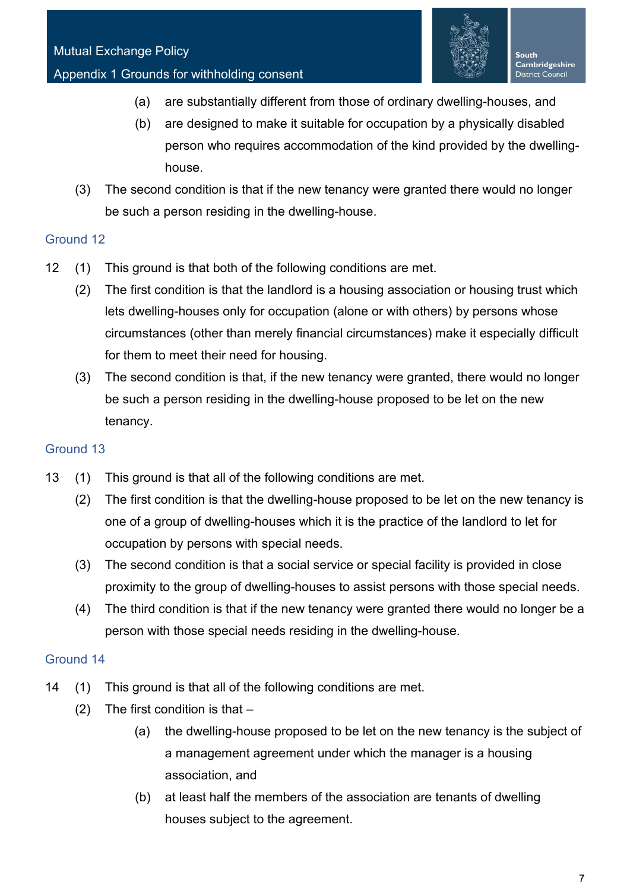

- (a) are substantially different from those of ordinary dwelling-houses, and
- (b) are designed to make it suitable for occupation by a physically disabled person who requires accommodation of the kind provided by the dwellinghouse.
- (3) The second condition is that if the new tenancy were granted there would no longer be such a person residing in the dwelling-house.

## Ground 12

- 12 (1) This ground is that both of the following conditions are met.
	- (2) The first condition is that the landlord is a housing association or housing trust which lets dwelling-houses only for occupation (alone or with others) by persons whose circumstances (other than merely financial circumstances) make it especially difficult for them to meet their need for housing.
	- (3) The second condition is that, if the new tenancy were granted, there would no longer be such a person residing in the dwelling-house proposed to be let on the new tenancy.

## Ground 13

- 13 (1) This ground is that all of the following conditions are met.
	- (2) The first condition is that the dwelling-house proposed to be let on the new tenancy is one of a group of dwelling-houses which it is the practice of the landlord to let for occupation by persons with special needs.
	- (3) The second condition is that a social service or special facility is provided in close proximity to the group of dwelling-houses to assist persons with those special needs.
	- (4) The third condition is that if the new tenancy were granted there would no longer be a person with those special needs residing in the dwelling-house.

## Ground 14

- 14 (1) This ground is that all of the following conditions are met.
	- (2) The first condition is that  $-$ 
		- (a) the dwelling-house proposed to be let on the new tenancy is the subject of a management agreement under which the manager is a housing association, and
		- (b) at least half the members of the association are tenants of dwelling houses subject to the agreement.